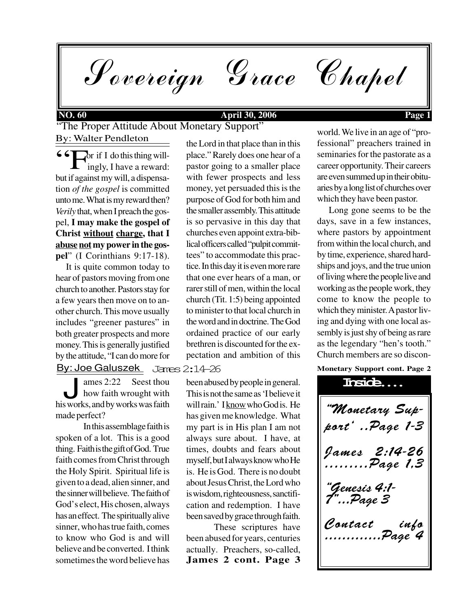Sovereign Grace Chapel

### **NO. 60 April 30, 2006 Page 1**

"The Proper Attitude About Monetary Support" By: Walter Pendleton

 or if I do this thing will-  $\Box$  ingly, I have a reward: but if against my will, a dispensation *of the gospel* is committed unto me. What is my reward then? *Verily* that, when I preach the gospel, **I may make the gospel of Christ without charge, that I abuse not my power in the gospel**" (I Corinthians 9:17-18).  $\boldsymbol{\varsigma}$   $\boldsymbol{\varsigma}$  to

 It is quite common today to hear of pastors moving from one church to another. Pastors stay for a few years then move on to another church. This move usually includes "greener pastures" in both greater prospects and more money. This is generally justified by the attitude, "I can do more for By: Joe Galuszek

ames 2:22 Seest thou<br>how faith wrought with<br>his works, and by works was faith ames 2:22 Seest thou how faith wrought with made perfect?

In this assemblage faith is spoken of a lot. This is a good thing. Faith is the gift of God. True faith comes from Christ through the Holy Spirit. Spiritual life is given to a dead, alien sinner, and the sinner will believe. The faith of God's elect, His chosen, always has an effect. The spiritually alive sinner, who has true faith, comes to know who God is and will believe and be converted. I think sometimes the word believe has

the Lord in that place than in this place." Rarely does one hear of a pastor going to a smaller place with fewer prospects and less money, yet persuaded this is the purpose of God for both him and the smaller assembly. This attitude is so pervasive in this day that churches even appoint extra-biblical officers called "pulpit committees" to accommodate this practice. In this day it is even more rare that one ever hears of a man, or rarer still of men, within the local church (Tit. 1:5) being appointed to minister to that local church in the word and in doctrine. The God ordained practice of our early brethren is discounted for the expectation and ambition of this

James 2:14-26

been abused by people in general. This is not the same as 'I believe it will rain.' I know who God is. He has given me knowledge. What my part is in His plan I am not always sure about. I have, at times, doubts and fears about myself, but I always know who He is. He is God. There is no doubt about Jesus Christ, the Lord who is wisdom, righteousness, sanctification and redemption. I have been saved by grace through faith.

**James 2 cont. Page 3** These scriptures have been abused for years, centuries actually. Preachers, so-called,

world. We live in an age of "professional" preachers trained in seminaries for the pastorate as a career opportunity. Their careers are even summed up in their obituaries by a long list of churches over which they have been pastor.

 Long gone seems to be the days, save in a few instances, where pastors by appointment from within the local church, and by time, experience, shared hardships and joys, and the true union of living where the people live and working as the people work, they come to know the people to which they minister. A pastor living and dying with one local assembly is just shy of being as rare as the legendary "hen's tooth." Church members are so discon-

**Monetary Support cont. Page 2**

"Monetary Support' ..Page 1-3 James 2:14-26 .........Page 1,3 "Genesis 4:1- 7"...Page 3 Contact info .............Page 4 **Inside....**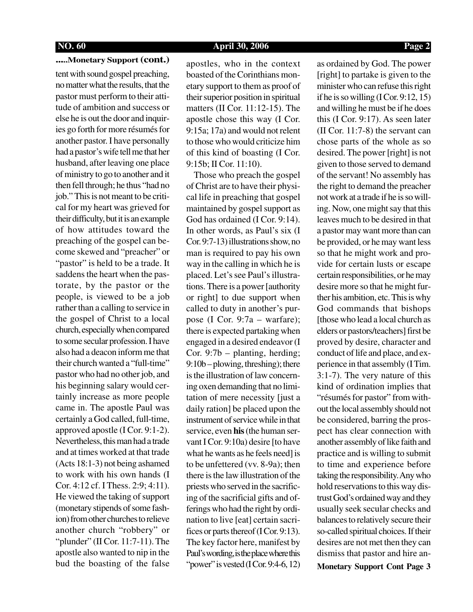### **NO. 60 April 30, 2006 Page 2**

### **.....Monetary Support (cont.)**

tent with sound gospel preaching, no matter what the results, that the pastor must perform to their attitude of ambition and success or else he is out the door and inquiries go forth for more résumés for another pastor. I have personally had a pastor's wife tell me that her husband, after leaving one place of ministry to go to another and it then fell through; he thus "had no job." This is not meant to be critical for my heart was grieved for their difficulty, but it is an example of how attitudes toward the preaching of the gospel can become skewed and "preacher" or "pastor" is held to be a trade. It saddens the heart when the pastorate, by the pastor or the people, is viewed to be a job rather than a calling to service in the gospel of Christ to a local church, especially when compared to some secular profession. I have also had a deacon inform me that their church wanted a "full-time" pastor who had no other job, and his beginning salary would certainly increase as more people came in. The apostle Paul was certainly a God called, full-time, approved apostle (I Cor. 9:1-2). Nevertheless, this man had a trade and at times worked at that trade (Acts 18:1-3) not being ashamed to work with his own hands (I Cor. 4:12 cf. I Thess. 2:9; 4:11). He viewed the taking of support (monetary stipends of some fashion) from other churches to relieve another church "robbery" or "plunder" (II Cor. 11:7-11). The apostle also wanted to nip in the bud the boasting of the false

apostles, who in the context boasted of the Corinthians monetary support to them as proof of their superior position in spiritual matters (II Cor. 11:12-15). The apostle chose this way (I Cor. 9:15a; 17a) and would not relent to those who would criticize him of this kind of boasting (I Cor. 9:15b; II Cor. 11:10).

 Those who preach the gospel of Christ are to have their physical life in preaching that gospel maintained by gospel support as God has ordained (I Cor. 9:14). In other words, as Paul's six (I Cor. 9:7-13) illustrations show, no man is required to pay his own way in the calling in which he is placed. Let's see Paul's illustrations. There is a power [authority or right] to due support when called to duty in another's purpose (I Cor. 9:7a – warfare); there is expected partaking when engaged in a desired endeavor (I Cor. 9:7b – planting, herding; 9:10b – plowing, threshing); there is the illustration of law concerning oxen demanding that no limitation of mere necessity [just a daily ration] be placed upon the instrument of service while in that service, even **his** (the human servant I Cor. 9:10a) desire [to have what he wants as he feels need] is to be unfettered (vv. 8-9a); then there is the law illustration of the priests who served in the sacrificing of the sacrificial gifts and offerings who had the right by ordination to live [eat] certain sacrifices or parts thereof (I Cor. 9:13). The key factor here, manifest by Paul's wording, is the place where this "power" is vested (I Cor. 9:4-6, 12)"

as ordained by God. The power [right] to partake is given to the minister who can refuse this right if he is so willing  $(I Cor. 9:12, 15)$ and willing he must be if he does this (I Cor. 9:17). As seen later (II Cor. 11:7-8) the servant can chose parts of the whole as so desired. The power [right] is not given to those served to demand of the servant! No assembly has the right to demand the preacher not work at a trade if he is so willing. Now, one might say that this leaves much to be desired in that a pastor may want more than can be provided, or he may want less so that he might work and provide for certain lusts or escape certain responsibilities, or he may desire more so that he might further his ambition, etc. This is why God commands that bishops [those who lead a local church as elders or pastors/teachers] first be proved by desire, character and conduct of life and place, and experience in that assembly (I Tim. 3:1-7). The very nature of this kind of ordination implies that "résumés for pastor" from without the local assembly should not be considered, barring the prospect has clear connection with another assembly of like faith and practice and is willing to submit to time and experience before taking the responsibility. Any who hold reservations to this way distrust God's ordained way and they usually seek secular checks and balances to relatively secure their so-called spiritual choices. If their desires are not met then they can dismiss that pastor and hire an-**Monetary Support Cont Page 3**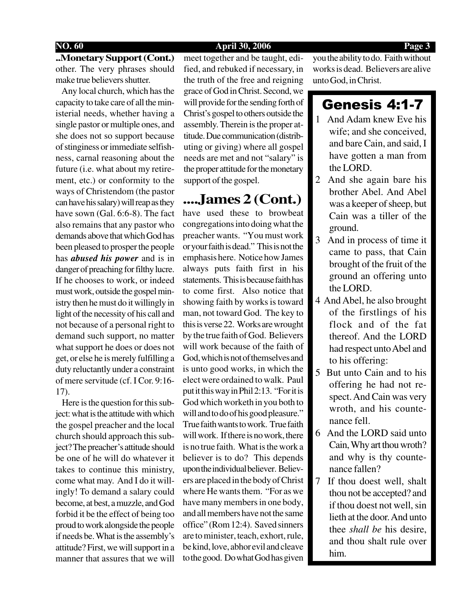## **NO. 60 April 30, 2006 Page 3**

## **..Monetary Support (Cont.)** other. The very phrases should make true believers shutter.

 Any local church, which has the capacity to take care of all the ministerial needs, whether having a single pastor or multiple ones, and she does not so support because of stinginess or immediate selfishness, carnal reasoning about the future (i.e. what about my retirement, etc.) or conformity to the ways of Christendom (the pastor can have his salary) will reap as they have sown (Gal. 6:6-8). The fact also remains that any pastor who demands above that which God has been pleased to prosper the people has *abused his power* and is in danger of preaching for filthy lucre. If he chooses to work, or indeed must work, outside the gospel ministry then he must do it willingly in light of the necessity of his call and not because of a personal right to demand such support, no matter what support he does or does not get, or else he is merely fulfilling a duty reluctantly under a constraint of mere servitude (cf. I Cor. 9:16- 17).

 Here is the question for this subject: what is the attitude with which the gospel preacher and the local church should approach this subject? The preacher's attitude should be one of he will do whatever it takes to continue this ministry, come what may. And I do it willingly! To demand a salary could become, at best, a muzzle, and God forbid it be the effect of being too proud to work alongside the people if needs be. What is the assembly's attitude? First, we will support in a manner that assures that we will meet together and be taught, edified, and rebuked if necessary, in the truth of the free and reigning grace of God in Christ. Second, we will provide for the sending forth of Christ's gospel to others outside the assembly. Therein is the proper attitude. Due communication (distributing or giving) where all gospel needs are met and not "salary" is the proper attitude for the monetary support of the gospel.

## **....James 2 (Cont.)**

have used these to browbeat congregations into doing what the preacher wants. "You must work or your faith is dead." This is not the emphasis here. Notice how James always puts faith first in his statements. This is because faith has to come first. Also notice that showing faith by works is toward man, not toward God. The key to this is verse 22. Works are wrought by the true faith of God. Believers will work because of the faith of God, which is not of themselves and is unto good works, in which the elect were ordained to walk. Paul put it this way in Phil 2:13. "For it is God which worketh in you both to will and to do of his good pleasure." True faith wants to work. True faith will work. If there is no work, there is no true faith. What is the work a believer is to do? This depends upon the individual believer. Believers are placed in the body of Christ where He wants them. "For as we have many members in one body, and all members have not the same office" (Rom 12:4). Saved sinners are to minister, teach, exhort, rule, be kind, love, abhor evil and cleave to the good. Do what God has given

you the ability to do. Faith without works is dead. Believers are alive unto God, in Christ.

## Genesis 4:1-7

- 1 And Adam knew Eve his wife; and she conceived, and bare Cain, and said, I have gotten a man from the LORD.
- 2 And she again bare his brother Abel. And Abel was a keeper of sheep, but Cain was a tiller of the ground.
- 3 And in process of time it came to pass, that Cain brought of the fruit of the ground an offering unto the LORD.
- 4 And Abel, he also brought of the firstlings of his flock and of the fat thereof. And the LORD had respect unto Abel and to his offering:
- 5 But unto Cain and to his offering he had not respect. And Cain was very wroth, and his countenance fell.
- 6 And the LORD said unto Cain, Why art thou wroth? and why is thy countenance fallen?
- 7 If thou doest well, shalt thou not be accepted? and if thou doest not well, sin lieth at the door. And unto thee *shall be* his desire, and thou shalt rule over him.